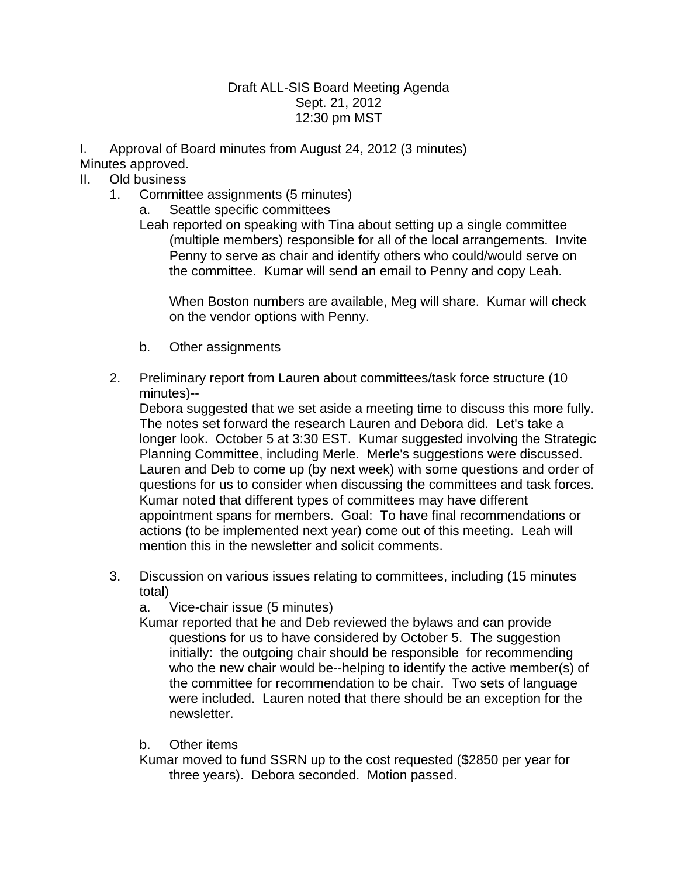## Draft ALL-SIS Board Meeting Agenda Sept. 21, 2012 12:30 pm MST

I. Approval of Board minutes from August 24, 2012 (3 minutes) Minutes approved.

- II. Old business
	- 1. Committee assignments (5 minutes)
		- a. Seattle specific committees

Leah reported on speaking with Tina about setting up a single committee (multiple members) responsible for all of the local arrangements. Invite Penny to serve as chair and identify others who could/would serve on the committee. Kumar will send an email to Penny and copy Leah.

When Boston numbers are available, Meg will share. Kumar will check on the vendor options with Penny.

- b. Other assignments
- 2. Preliminary report from Lauren about committees/task force structure (10 minutes)--

Debora suggested that we set aside a meeting time to discuss this more fully. The notes set forward the research Lauren and Debora did. Let's take a longer look. October 5 at 3:30 EST. Kumar suggested involving the Strategic Planning Committee, including Merle. Merle's suggestions were discussed. Lauren and Deb to come up (by next week) with some questions and order of questions for us to consider when discussing the committees and task forces. Kumar noted that different types of committees may have different appointment spans for members. Goal: To have final recommendations or actions (to be implemented next year) come out of this meeting. Leah will mention this in the newsletter and solicit comments.

- 3. Discussion on various issues relating to committees, including (15 minutes total)
	- a. Vice-chair issue (5 minutes)

Kumar reported that he and Deb reviewed the bylaws and can provide questions for us to have considered by October 5. The suggestion initially: the outgoing chair should be responsible for recommending who the new chair would be--helping to identify the active member(s) of the committee for recommendation to be chair. Two sets of language were included. Lauren noted that there should be an exception for the newsletter.

b. Other items

Kumar moved to fund SSRN up to the cost requested (\$2850 per year for three years). Debora seconded. Motion passed.